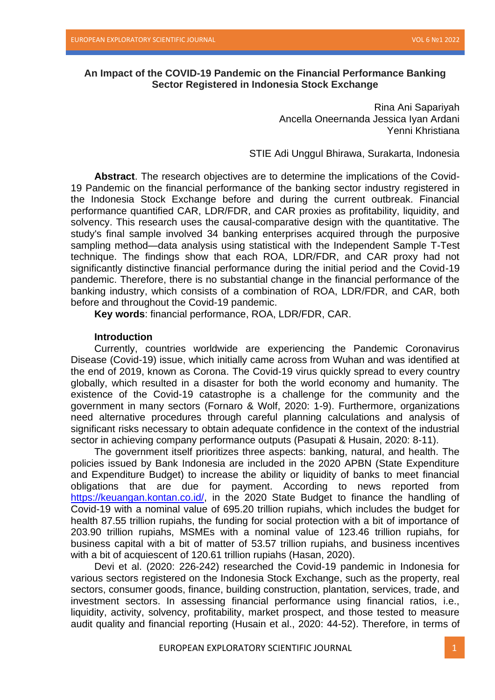## **An Impact of the COVID-19 Pandemic on the Financial Performance Banking Sector Registered in Indonesia Stock Exchange**

Rina Ani Sapariyah Ancella Oneernanda Jessica Iyan Ardani Yenni Khristiana

STIE Adi Unggul Bhirawa, Surakarta, Indonesia

**Abstract**. The research objectives are to determine the implications of the Covid-19 Pandemic on the financial performance of the banking sector industry registered in the Indonesia Stock Exchange before and during the current outbreak. Financial performance quantified CAR, LDR/FDR, and CAR proxies as profitability, liquidity, and solvency. This research uses the causal-comparative design with the quantitative. The study's final sample involved 34 banking enterprises acquired through the purposive sampling method—data analysis using statistical with the Independent Sample T-Test technique. The findings show that each ROA, LDR/FDR, and CAR proxy had not significantly distinctive financial performance during the initial period and the Covid-19 pandemic. Therefore, there is no substantial change in the financial performance of the banking industry, which consists of a combination of ROA, LDR/FDR, and CAR, both before and throughout the Covid-19 pandemic.

**Key words**: financial performance, ROA, LDR/FDR, CAR.

#### **Introduction**

Currently, countries worldwide are experiencing the Pandemic Coronavirus Disease (Covid-19) issue, which initially came across from Wuhan and was identified at the end of 2019, known as Corona. The Covid-19 virus quickly spread to every country globally, which resulted in a disaster for both the world economy and humanity. The existence of the Covid-19 catastrophe is a challenge for the community and the government in many sectors (Fornaro & Wolf, 2020: 1-9). Furthermore, organizations need alternative procedures through careful planning calculations and analysis of significant risks necessary to obtain adequate confidence in the context of the industrial sector in achieving company performance outputs (Pasupati & Husain, 2020: 8-11).

The government itself prioritizes three aspects: banking, natural, and health. The policies issued by Bank Indonesia are included in the 2020 APBN (State Expenditure and Expenditure Budget) to increase the ability or liquidity of banks to meet financial obligations that are due for payment. According to news reported from [https://keuangan.kontan.co.id/,](https://keuangan.kontan.co.id/) in the 2020 State Budget to finance the handling of Covid-19 with a nominal value of 695.20 trillion rupiahs, which includes the budget for health 87.55 trillion rupiahs, the funding for social protection with a bit of importance of 203.90 trillion rupiahs, MSMEs with a nominal value of 123.46 trillion rupiahs, for business capital with a bit of matter of 53.57 trillion rupiahs, and business incentives with a bit of acquiescent of 120.61 trillion rupiahs (Hasan, 2020).

Devi et al. (2020: 226-242) researched the Covid-19 pandemic in Indonesia for various sectors registered on the Indonesia Stock Exchange, such as the property, real sectors, consumer goods, finance, building construction, plantation, services, trade, and investment sectors. In assessing financial performance using financial ratios, i.e., liquidity, activity, solvency, profitability, market prospect, and those tested to measure audit quality and financial reporting (Husain et al., 2020: 44-52). Therefore, in terms of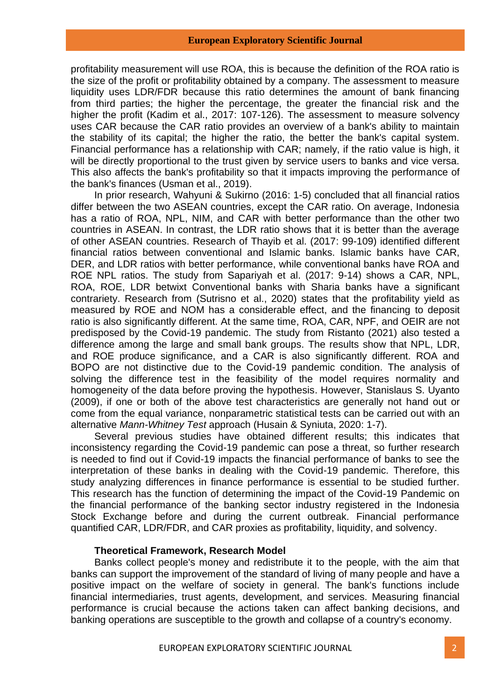profitability measurement will use ROA, this is because the definition of the ROA ratio is the size of the profit or profitability obtained by a company. The assessment to measure liquidity uses LDR/FDR because this ratio determines the amount of bank financing from third parties; the higher the percentage, the greater the financial risk and the higher the profit (Kadim et al., 2017: 107-126). The assessment to measure solvency uses CAR because the CAR ratio provides an overview of a bank's ability to maintain the stability of its capital; the higher the ratio, the better the bank's capital system. Financial performance has a relationship with CAR; namely, if the ratio value is high, it will be directly proportional to the trust given by service users to banks and vice versa. This also affects the bank's profitability so that it impacts improving the performance of the bank's finances (Usman et al., 2019).

In prior research, Wahyuni & Sukirno (2016: 1-5) concluded that all financial ratios differ between the two ASEAN countries, except the CAR ratio. On average, Indonesia has a ratio of ROA, NPL, NIM, and CAR with better performance than the other two countries in ASEAN. In contrast, the LDR ratio shows that it is better than the average of other ASEAN countries. Research of Thayib et al. (2017: 99-109) identified different financial ratios between conventional and Islamic banks. Islamic banks have CAR, DER, and LDR ratios with better performance, while conventional banks have ROA and ROE NPL ratios. The study from Sapariyah et al. (2017: 9-14) shows a CAR, NPL, ROA, ROE, LDR betwixt Conventional banks with Sharia banks have a significant contrariety. Research from (Sutrisno et al., 2020) states that the profitability yield as measured by ROE and NOM has a considerable effect, and the financing to deposit ratio is also significantly different. At the same time, ROA, CAR, NPF, and OEIR are not predisposed by the Covid-19 pandemic. The study from Ristanto (2021) also tested a difference among the large and small bank groups. The results show that NPL, LDR, and ROE produce significance, and a CAR is also significantly different. ROA and BOPO are not distinctive due to the Covid-19 pandemic condition. The analysis of solving the difference test in the feasibility of the model requires normality and homogeneity of the data before proving the hypothesis. However, Stanislaus S. Uyanto (2009), if one or both of the above test characteristics are generally not hand out or come from the equal variance, nonparametric statistical tests can be carried out with an alternative *Mann-Whitney Test* approach (Husain & Syniuta, 2020: 1-7).

Several previous studies have obtained different results; this indicates that inconsistency regarding the Covid-19 pandemic can pose a threat, so further research is needed to find out if Covid-19 impacts the financial performance of banks to see the interpretation of these banks in dealing with the Covid-19 pandemic. Therefore, this study analyzing differences in finance performance is essential to be studied further. This research has the function of determining the impact of the Covid-19 Pandemic on the financial performance of the banking sector industry registered in the Indonesia Stock Exchange before and during the current outbreak. Financial performance quantified CAR, LDR/FDR, and CAR proxies as profitability, liquidity, and solvency.

## **Theoretical Framework, Research Model**

Banks collect people's money and redistribute it to the people, with the aim that banks can support the improvement of the standard of living of many people and have a positive impact on the welfare of society in general. The bank's functions include financial intermediaries, trust agents, development, and services. Measuring financial performance is crucial because the actions taken can affect banking decisions, and banking operations are susceptible to the growth and collapse of a country's economy.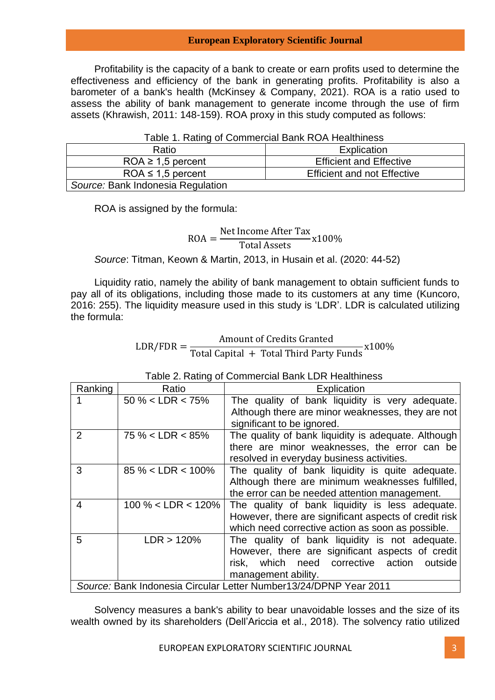Profitability is the capacity of a bank to create or earn profits used to determine the effectiveness and efficiency of the bank in generating profits. Profitability is also a barometer of a bank's health (McKinsey & Company, 2021). ROA is a ratio used to assess the ability of bank management to generate income through the use of firm assets (Khrawish, 2011: 148-159). ROA proxy in this study computed as follows:

| i able 1. Rating of Commercial Bank ROA Healthiness |                                    |  |  |
|-----------------------------------------------------|------------------------------------|--|--|
| Ratio                                               | Explication                        |  |  |
| $ROA \geq 1.5$ percent                              | <b>Efficient and Effective</b>     |  |  |
| $ROA \leq 1.5$ percent                              | <b>Efficient and not Effective</b> |  |  |
| Source: Bank Indonesia Regulation                   |                                    |  |  |

 $1.$  Doting of Commercial Bank BOA Healthiness

ROA is assigned by the formula:

#### $ROA =$ Net Income After Tax Total Assets x100%

*Source*: Titman, Keown & Martin, 2013, in Husain et al. (2020: 44-52)

Liquidity ratio, namely the ability of bank management to obtain sufficient funds to pay all of its obligations, including those made to its customers at any time (Kuncoro, 2016: 255). The liquidity measure used in this study is 'LDR'. LDR is calculated utilizing the formula:

> $LDR/FDR =$ Amount of Credits Granted Total Capital <sup>+</sup> Total Third Party Funds x100%

| Ranking                                                           | Ratio                 | Explication                                           |  |  |
|-------------------------------------------------------------------|-----------------------|-------------------------------------------------------|--|--|
|                                                                   | $50\% < LDR < 75\%$   | The quality of bank liquidity is very adequate.       |  |  |
|                                                                   |                       | Although there are minor weaknesses, they are not     |  |  |
|                                                                   |                       | significant to be ignored.                            |  |  |
| 2                                                                 | $75\% < LDR < 85\%$   | The quality of bank liquidity is adequate. Although   |  |  |
|                                                                   |                       | there are minor weaknesses, the error can be          |  |  |
|                                                                   |                       | resolved in everyday business activities.             |  |  |
| 3                                                                 | $85\% < LDR < 100\%$  | The quality of bank liquidity is quite adequate.      |  |  |
|                                                                   |                       | Although there are minimum weaknesses fulfilled,      |  |  |
|                                                                   |                       | the error can be needed attention management.         |  |  |
| 4                                                                 | $100\% < LDR < 120\%$ | The quality of bank liquidity is less adequate.       |  |  |
|                                                                   |                       | However, there are significant aspects of credit risk |  |  |
|                                                                   |                       | which need corrective action as soon as possible.     |  |  |
| 5                                                                 | LDR > 120%            | The quality of bank liquidity is not adequate.        |  |  |
|                                                                   |                       | However, there are significant aspects of credit      |  |  |
|                                                                   |                       | which need corrective action<br>outside<br>risk.      |  |  |
|                                                                   |                       | management ability.                                   |  |  |
| Source: Bank Indonesia Circular Letter Number13/24/DPNP Year 2011 |                       |                                                       |  |  |

Table 2. Rating of Commercial Bank LDR Healthiness

Solvency measures a bank's ability to bear unavoidable losses and the size of its wealth owned by its shareholders (Dell'Ariccia et al., 2018). The solvency ratio utilized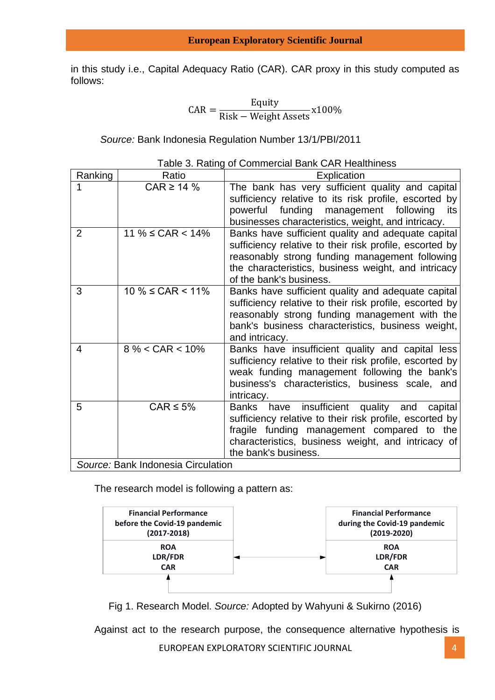in this study i.e., Capital Adequacy Ratio (CAR). CAR proxy in this study computed as follows:

$$
CAR = \frac{Equity}{Risk - Weight Assets} \times 100\%
$$

*Source:* Bank Indonesia Regulation Number 13/1/PBI/2011

|                                    | rable 5. Rating of Commercial Darin CAR Fleatunitess |                                                         |  |  |
|------------------------------------|------------------------------------------------------|---------------------------------------------------------|--|--|
| Ranking                            | Ratio                                                | Explication                                             |  |  |
|                                    | $CAR \geq 14 \%$                                     | The bank has very sufficient quality and capital        |  |  |
|                                    |                                                      | sufficiency relative to its risk profile, escorted by   |  |  |
|                                    |                                                      | powerful funding<br>management following<br>its         |  |  |
|                                    |                                                      | businesses characteristics, weight, and intricacy.      |  |  |
| $\overline{2}$                     | 11 % $\leq$ CAR $<$ 14%                              | Banks have sufficient quality and adequate capital      |  |  |
|                                    |                                                      | sufficiency relative to their risk profile, escorted by |  |  |
|                                    |                                                      | reasonably strong funding management following          |  |  |
|                                    |                                                      | the characteristics, business weight, and intricacy     |  |  |
|                                    |                                                      | of the bank's business.                                 |  |  |
| 3                                  | $10 \% \leq$ CAR < 11%                               | Banks have sufficient quality and adequate capital      |  |  |
|                                    |                                                      | sufficiency relative to their risk profile, escorted by |  |  |
|                                    |                                                      | reasonably strong funding management with the           |  |  |
|                                    |                                                      | bank's business characteristics, business weight,       |  |  |
|                                    |                                                      | and intricacy.                                          |  |  |
| 4                                  | $8\% <$ CAR $<$ 10%                                  | Banks have insufficient quality and capital less        |  |  |
|                                    |                                                      | sufficiency relative to their risk profile, escorted by |  |  |
|                                    |                                                      | weak funding management following the bank's            |  |  |
|                                    |                                                      | business's characteristics, business scale, and         |  |  |
|                                    |                                                      | intricacy.                                              |  |  |
| 5                                  | $CAR \leq 5\%$                                       | insufficient quality and<br>Banks have<br>capital       |  |  |
|                                    |                                                      | sufficiency relative to their risk profile, escorted by |  |  |
|                                    |                                                      | fragile funding management compared to the              |  |  |
|                                    |                                                      | characteristics, business weight, and intricacy of      |  |  |
|                                    |                                                      | the bank's business.                                    |  |  |
| Source: Bank Indonesia Circulation |                                                      |                                                         |  |  |

Table 3. Rating of Commercial Bank CAR Healthiness

The research model is following a pattern as:



Fig 1. Research Model. *Source:* Adopted by Wahyuni & Sukirno (2016)

Against act to the research purpose, the consequence alternative hypothesis is

EUROPEAN EXPLORATORY SCIENTIFIC JOURNAL 4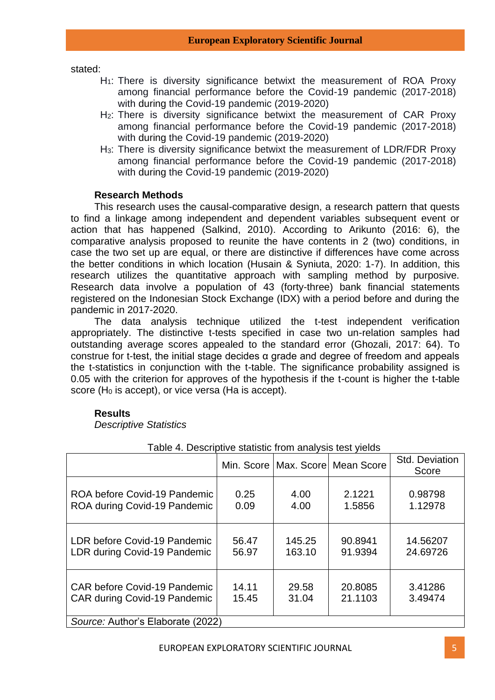stated:

- H<sub>1</sub>: There is diversity significance betwixt the measurement of ROA Proxy among financial performance before the Covid-19 pandemic (2017-2018) with during the Covid-19 pandemic (2019-2020)
- H<sub>2</sub>: There is diversity significance betwixt the measurement of CAR Proxy among financial performance before the Covid-19 pandemic (2017-2018) with during the Covid-19 pandemic (2019-2020)
- H3: There is diversity significance betwixt the measurement of LDR/FDR Proxy among financial performance before the Covid-19 pandemic (2017-2018) with during the Covid-19 pandemic (2019-2020)

## **Research Methods**

This research uses the causal-comparative design, a research pattern that quests to find a linkage among independent and dependent variables subsequent event or action that has happened (Salkind, 2010). According to Arikunto (2016: 6), the comparative analysis proposed to reunite the have contents in 2 (two) conditions, in case the two set up are equal, or there are distinctive if differences have come across the better conditions in which location (Husain & Syniuta, 2020: 1-7). In addition, this research utilizes the quantitative approach with sampling method by purposive. Research data involve a population of 43 (forty-three) bank financial statements registered on the Indonesian Stock Exchange (IDX) with a period before and during the pandemic in 2017-2020.

The data analysis technique utilized the t-test independent verification appropriately. The distinctive t-tests specified in case two un-relation samples had outstanding average scores appealed to the standard error (Ghozali, 2017: 64). To construe for t-test, the initial stage decides α grade and degree of freedom and appeals the t-statistics in conjunction with the t-table. The significance probability assigned is 0.05 with the criterion for approves of the hypothesis if the t-count is higher the t-table score (H<sub>0</sub> is accept), or vice versa (Ha is accept).

# **Results**

*Descriptive Statistics*

|                                     |       |        | Min. Score   Max. Score   Mean Score | Std. Deviation<br>Score |
|-------------------------------------|-------|--------|--------------------------------------|-------------------------|
| ROA before Covid-19 Pandemic        | 0.25  | 4.00   | 2.1221                               | 0.98798                 |
| ROA during Covid-19 Pandemic        | 0.09  | 4.00   | 1.5856                               | 1.12978                 |
| LDR before Covid-19 Pandemic        | 56.47 | 145.25 | 90.8941                              | 14.56207                |
| LDR during Covid-19 Pandemic        | 56.97 | 163.10 | 91.9394                              | 24.69726                |
| <b>CAR before Covid-19 Pandemic</b> | 14.11 | 29.58  | 20.8085                              | 3.41286                 |
| <b>CAR during Covid-19 Pandemic</b> | 15.45 | 31.04  | 21.1103                              | 3.49474                 |
| Source: Author's Elaborate (2022)   |       |        |                                      |                         |

Table 4. Descriptive statistic from analysis test yields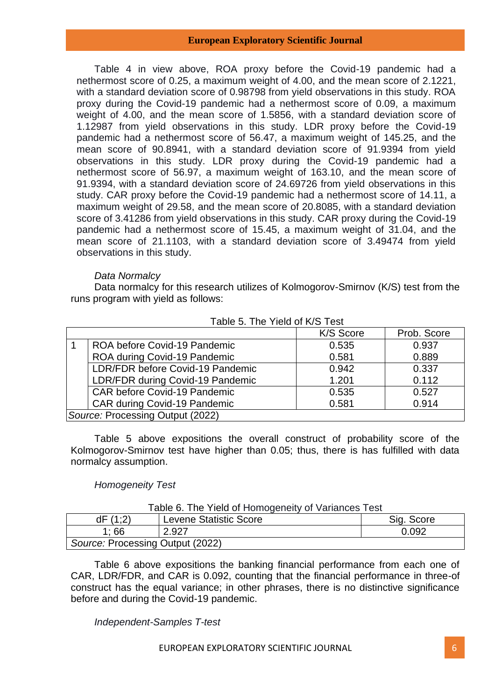Table 4 in view above, ROA proxy before the Covid-19 pandemic had a nethermost score of 0.25, a maximum weight of 4.00, and the mean score of 2.1221, with a standard deviation score of 0.98798 from yield observations in this study. ROA proxy during the Covid-19 pandemic had a nethermost score of 0.09, a maximum weight of 4.00, and the mean score of 1.5856, with a standard deviation score of 1.12987 from yield observations in this study. LDR proxy before the Covid-19 pandemic had a nethermost score of 56.47, a maximum weight of 145.25, and the mean score of 90.8941, with a standard deviation score of 91.9394 from yield observations in this study. LDR proxy during the Covid-19 pandemic had a nethermost score of 56.97, a maximum weight of 163.10, and the mean score of 91.9394, with a standard deviation score of 24.69726 from yield observations in this study. CAR proxy before the Covid-19 pandemic had a nethermost score of 14.11, a maximum weight of 29.58, and the mean score of 20.8085, with a standard deviation score of 3.41286 from yield observations in this study. CAR proxy during the Covid-19 pandemic had a nethermost score of 15.45, a maximum weight of 31.04, and the mean score of 21.1103, with a standard deviation score of 3.49474 from yield observations in this study.

## *Data Normalcy*

Data normalcy for this research utilizes of Kolmogorov-Smirnov (K/S) test from the runs program with yield as follows:

|                                  |                                     | K/S Score | Prob. Score |
|----------------------------------|-------------------------------------|-----------|-------------|
|                                  | ROA before Covid-19 Pandemic        | 0.535     | 0.937       |
|                                  | ROA during Covid-19 Pandemic        | 0.581     | 0.889       |
|                                  | LDR/FDR before Covid-19 Pandemic    | 0.942     | 0.337       |
|                                  | LDR/FDR during Covid-19 Pandemic    | 1.201     | 0.112       |
|                                  | <b>CAR before Covid-19 Pandemic</b> | 0.535     | 0.527       |
|                                  | CAR during Covid-19 Pandemic        | 0.581     | 0.914       |
| Source: Processing Output (2022) |                                     |           |             |

## Table 5. The Yield of K/S Test

Table 5 above expositions the overall construct of probability score of the Kolmogorov-Smirnov test have higher than 0.05; thus, there is has fulfilled with data normalcy assumption.

# *Homogeneity Test*

| Table 6. The Yield of Homogeneity of Variances Test |                               |            |  |
|-----------------------------------------------------|-------------------------------|------------|--|
| dF(1;2)                                             | <b>Levene Statistic Score</b> | Sig. Score |  |
| 1:66                                                | 2.927                         | 0.092      |  |
| Source: Processing Output (2022)                    |                               |            |  |

Table 6 above expositions the banking financial performance from each one of CAR, LDR/FDR, and CAR is 0.092, counting that the financial performance in three-of construct has the equal variance; in other phrases, there is no distinctive significance before and during the Covid-19 pandemic.

# *Independent-Samples T-test*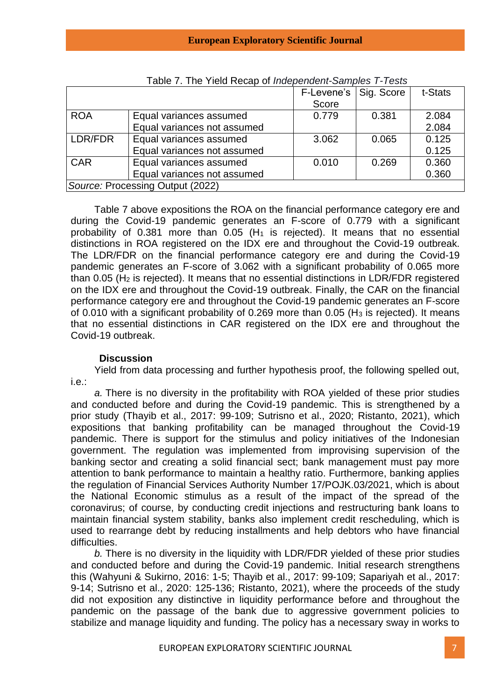| <u>I avic T. TIJC TICIU INCLAP UI <i>IIIUCPCIIUCIII</i>-J<i>aIIIPICS T-T</i>CSIS</u> |                             |            |            |         |
|--------------------------------------------------------------------------------------|-----------------------------|------------|------------|---------|
|                                                                                      |                             | F-Levene's | Sig. Score | t-Stats |
|                                                                                      |                             | Score      |            |         |
| <b>ROA</b>                                                                           | Equal variances assumed     | 0.779      | 0.381      | 2.084   |
|                                                                                      | Equal variances not assumed |            |            | 2.084   |
| LDR/FDR                                                                              | Equal variances assumed     | 3.062      | 0.065      | 0.125   |
|                                                                                      | Equal variances not assumed |            |            | 0.125   |
| <b>CAR</b>                                                                           | Equal variances assumed     | 0.010      | 0.269      | 0.360   |
|                                                                                      | Equal variances not assumed |            |            | 0.360   |
| Source: Processing Output (2022)                                                     |                             |            |            |         |

Table 7. The Yield Recap of *Independent-Samples T-Tests*

Table 7 above expositions the ROA on the financial performance category ere and during the Covid-19 pandemic generates an F-score of 0.779 with a significant probability of 0.381 more than 0.05 ( $H_1$  is rejected). It means that no essential distinctions in ROA registered on the IDX ere and throughout the Covid-19 outbreak. The LDR/FDR on the financial performance category ere and during the Covid-19 pandemic generates an F-score of 3.062 with a significant probability of 0.065 more than 0.05 (H<sup>2</sup> is rejected). It means that no essential distinctions in LDR/FDR registered on the IDX ere and throughout the Covid-19 outbreak. Finally, the CAR on the financial performance category ere and throughout the Covid-19 pandemic generates an F-score of 0.010 with a significant probability of 0.269 more than 0.05 ( $H_3$  is rejected). It means that no essential distinctions in CAR registered on the IDX ere and throughout the Covid-19 outbreak.

## **Discussion**

Yield from data processing and further hypothesis proof, the following spelled out, i.e.:

*a.* There is no diversity in the profitability with ROA yielded of these prior studies and conducted before and during the Covid-19 pandemic. This is strengthened by a prior study (Thayib et al., 2017: 99-109; Sutrisno et al., 2020; Ristanto, 2021), which expositions that banking profitability can be managed throughout the Covid-19 pandemic. There is support for the stimulus and policy initiatives of the Indonesian government. The regulation was implemented from improvising supervision of the banking sector and creating a solid financial sect; bank management must pay more attention to bank performance to maintain a healthy ratio. Furthermore, banking applies the regulation of Financial Services Authority Number 17/POJK.03/2021, which is about the National Economic stimulus as a result of the impact of the spread of the coronavirus; of course, by conducting credit injections and restructuring bank loans to maintain financial system stability, banks also implement credit rescheduling, which is used to rearrange debt by reducing installments and help debtors who have financial difficulties.

*b.* There is no diversity in the liquidity with LDR/FDR yielded of these prior studies and conducted before and during the Covid-19 pandemic. Initial research strengthens this (Wahyuni & Sukirno, 2016: 1-5; Thayib et al., 2017: 99-109; Sapariyah et al., 2017: 9-14; Sutrisno et al., 2020: 125-136; Ristanto, 2021), where the proceeds of the study did not exposition any distinctive in liquidity performance before and throughout the pandemic on the passage of the bank due to aggressive government policies to stabilize and manage liquidity and funding. The policy has a necessary sway in works to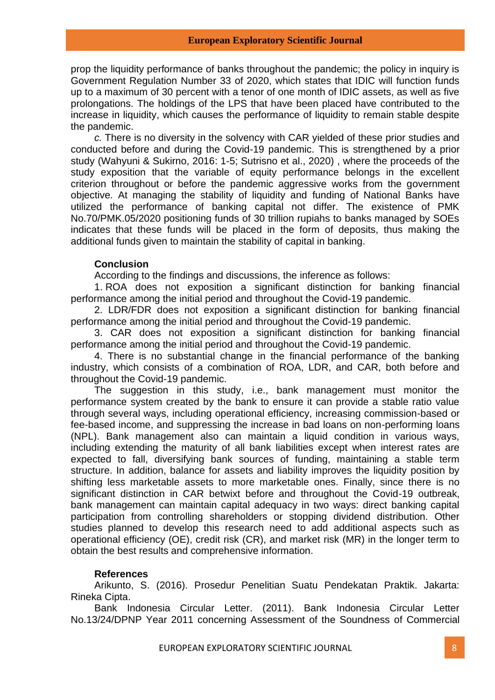prop the liquidity performance of banks throughout the pandemic; the policy in inquiry is Government Regulation Number 33 of 2020, which states that IDIC will function funds up to a maximum of 30 percent with a tenor of one month of IDIC assets, as well as five prolongations. The holdings of the LPS that have been placed have contributed to the increase in liquidity, which causes the performance of liquidity to remain stable despite the pandemic.

*c.* There is no diversity in the solvency with CAR yielded of these prior studies and conducted before and during the Covid-19 pandemic. This is strengthened by a prior study (Wahyuni & Sukirno, 2016: 1-5; Sutrisno et al., 2020) , where the proceeds of the study exposition that the variable of equity performance belongs in the excellent criterion throughout or before the pandemic aggressive works from the government objective. At managing the stability of liquidity and funding of National Banks have utilized the performance of banking capital not differ. The existence of PMK No.70/PMK.05/2020 positioning funds of 30 trillion rupiahs to banks managed by SOEs indicates that these funds will be placed in the form of deposits, thus making the additional funds given to maintain the stability of capital in banking.

#### **Conclusion**

According to the findings and discussions, the inference as follows:

1. ROA does not exposition a significant distinction for banking financial performance among the initial period and throughout the Covid-19 pandemic.

2. LDR/FDR does not exposition a significant distinction for banking financial performance among the initial period and throughout the Covid-19 pandemic.

3. CAR does not exposition a significant distinction for banking financial performance among the initial period and throughout the Covid-19 pandemic.

4. There is no substantial change in the financial performance of the banking industry, which consists of a combination of ROA, LDR, and CAR, both before and throughout the Covid-19 pandemic.

The suggestion in this study, i.e., bank management must monitor the performance system created by the bank to ensure it can provide a stable ratio value through several ways, including operational efficiency, increasing commission-based or fee-based income, and suppressing the increase in bad loans on non-performing loans (NPL). Bank management also can maintain a liquid condition in various ways, including extending the maturity of all bank liabilities except when interest rates are expected to fall, diversifying bank sources of funding, maintaining a stable term structure. In addition, balance for assets and liability improves the liquidity position by shifting less marketable assets to more marketable ones. Finally, since there is no significant distinction in CAR betwixt before and throughout the Covid-19 outbreak, bank management can maintain capital adequacy in two ways: direct banking capital participation from controlling shareholders or stopping dividend distribution. Other studies planned to develop this research need to add additional aspects such as operational efficiency (OE), credit risk (CR), and market risk (MR) in the longer term to obtain the best results and comprehensive information.

#### **References**

Arikunto, S. (2016). Prosedur Penelitian Suatu Pendekatan Praktik. Jakarta: Rineka Cipta.

Bank Indonesia Circular Letter. (2011). Bank Indonesia Circular Letter No.13/24/DPNP Year 2011 concerning Assessment of the Soundness of Commercial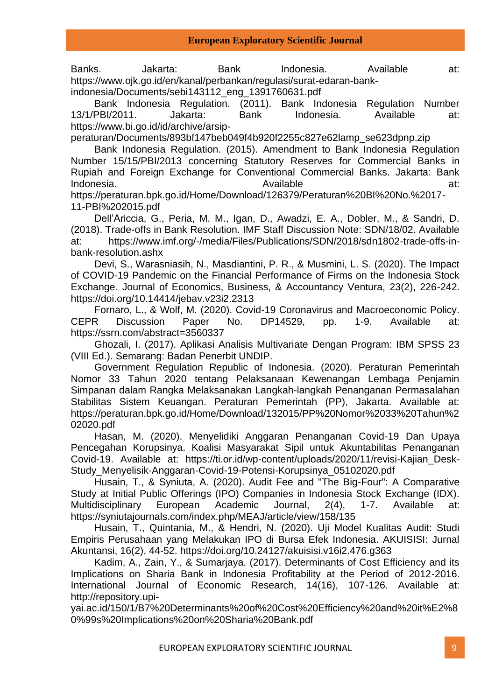Banks. Jakarta: Bank Indonesia. Available at: https://www.ojk.go.id/en/kanal/perbankan/regulasi/surat-edaran-bankindonesia/Documents/sebi143112\_eng\_1391760631.pdf

Bank Indonesia Regulation. (2011). Bank Indonesia Regulation Number 13/1/PBI/2011. Jakarta: Bank Indonesia. Available at: https://www.bi.go.id/id/archive/arsip-

peraturan/Documents/893bf147beb049f4b920f2255c827e62lamp\_se623dpnp.zip

Bank Indonesia Regulation. (2015). Amendment to Bank Indonesia Regulation Number 15/15/PBI/2013 concerning Statutory Reserves for Commercial Banks in Rupiah and Foreign Exchange for Conventional Commercial Banks. Jakarta: Bank Indonesia. at: Available at: Available at: Available at: https://peraturan.bpk.go.id/Home/Download/126379/Peraturan%20BI%20No.%2017-

11-PBI%202015.pdf

Dell'Ariccia, G., Peria, M. M., Igan, D., Awadzi, E. A., Dobler, M., & Sandri, D. (2018). Trade-offs in Bank Resolution. IMF Staff Discussion Note: SDN/18/02. Available at: https://www.imf.org/-/media/Files/Publications/SDN/2018/sdn1802-trade-offs-inbank-resolution.ashx

Devi, S., Warasniasih, N., Masdiantini, P. R., & Musmini, L. S. (2020). The Impact of COVID-19 Pandemic on the Financial Performance of Firms on the Indonesia Stock Exchange. Journal of Economics, Business, & Accountancy Ventura, 23(2), 226-242. https://doi.org/10.14414/jebav.v23i2.2313

Fornaro, L., & Wolf, M. (2020). Covid-19 Coronavirus and Macroeconomic Policy. CEPR Discussion Paper No. DP14529, pp. 1-9. Available at: https://ssrn.com/abstract=3560337

Ghozali, I. (2017). Aplikasi Analisis Multivariate Dengan Program: IBM SPSS 23 (VIII Ed.). Semarang: Badan Penerbit UNDIP.

Government Regulation Republic of Indonesia. (2020). Peraturan Pemerintah Nomor 33 Tahun 2020 tentang Pelaksanaan Kewenangan Lembaga Penjamin Simpanan dalam Rangka Melaksanakan Langkah-langkah Penanganan Permasalahan Stabilitas Sistem Keuangan. Peraturan Pemerintah (PP), Jakarta. Available at: https://peraturan.bpk.go.id/Home/Download/132015/PP%20Nomor%2033%20Tahun%2 02020.pdf

Hasan, M. (2020). Menyelidiki Anggaran Penanganan Covid-19 Dan Upaya Pencegahan Korupsinya. Koalisi Masyarakat Sipil untuk Akuntabilitas Penanganan Covid-19. Available at: https://ti.or.id/wp-content/uploads/2020/11/revisi-Kajian\_Desk-Study\_Menyelisik-Anggaran-Covid-19-Potensi-Korupsinya\_05102020.pdf

Husain, T., & Syniuta, A. (2020). Audit Fee and "The Big-Four": A Comparative Study at Initial Public Offerings (IPO) Companies in Indonesia Stock Exchange (IDX). Multidisciplinary European Academic Journal, 2(4), 1-7. Available at: https://syniutajournals.com/index.php/MEAJ/article/view/158/135

Husain, T., Quintania, M., & Hendri, N. (2020). Uji Model Kualitas Audit: Studi Empiris Perusahaan yang Melakukan IPO di Bursa Efek Indonesia. AKUISISI: Jurnal Akuntansi, 16(2), 44-52. https://doi.org/10.24127/akuisisi.v16i2.476.g363

Kadim, A., Zain, Y., & Sumarjaya. (2017). Determinants of Cost Efficiency and its Implications on Sharia Bank in Indonesia Profitability at the Period of 2012-2016. International Journal of Economic Research, 14(16), 107-126. Available at: http://repository.upi-

yai.ac.id/150/1/B7%20Determinants%20of%20Cost%20Efficiency%20and%20it%E2%8 0%99s%20Implications%20on%20Sharia%20Bank.pdf